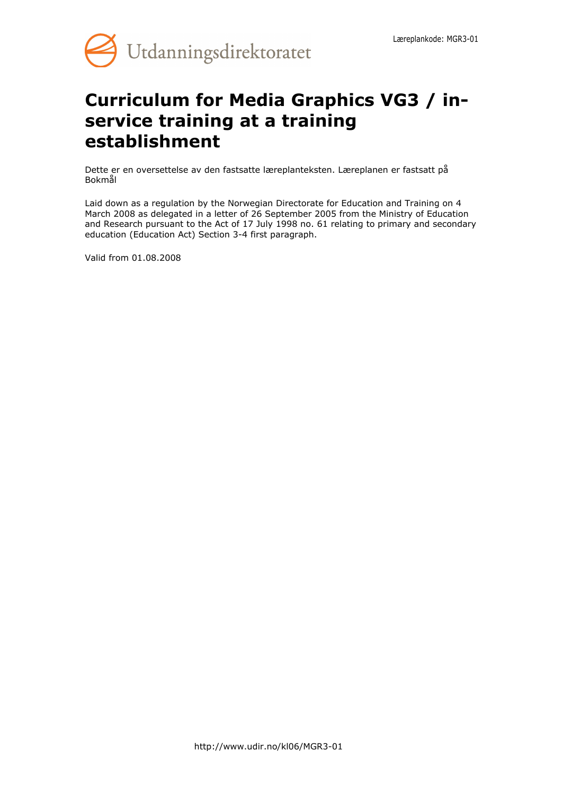

# **Curriculum for Media Graphics VG3 / inservice training at a training establishment**

Dette er en oversettelse av den fastsatte læreplanteksten. Læreplanen er fastsatt på Bokmål

Laid down as a regulation by the Norwegian Directorate for Education and Training on 4 March 2008 as delegated in a letter of 26 September 2005 from the Ministry of Education and Research pursuant to the Act of 17 July 1998 no. 61 relating to primary and secondary education (Education Act) Section 3-4 first paragraph.

Valid from 01.08.2008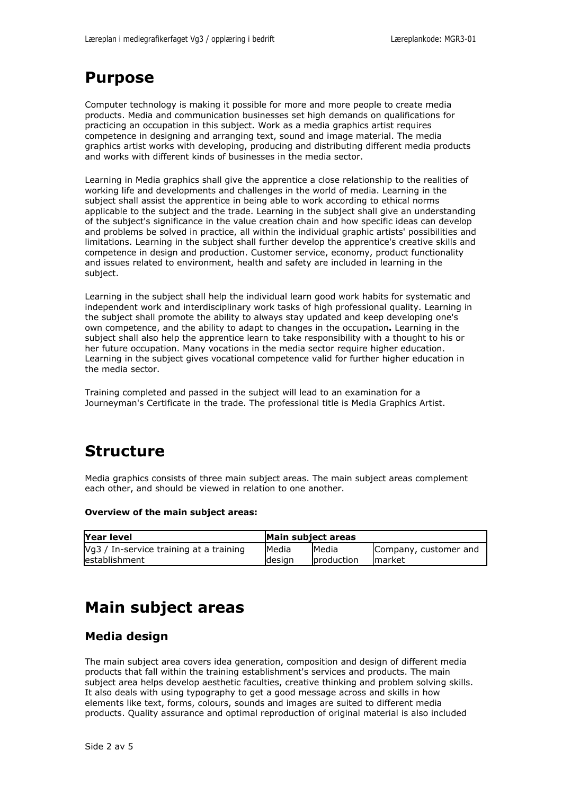## **Purpose**

Computer technology is making it possible for more and more people to create media products. Media and communication businesses set high demands on qualifications for practicing an occupation in this subject. Work as a media graphics artist requires competence in designing and arranging text, sound and image material. The media graphics artist works with developing, producing and distributing different media products and works with different kinds of businesses in the media sector.

Learning in Media graphics shall give the apprentice a close relationship to the realities of working life and developments and challenges in the world of media. Learning in the subject shall assist the apprentice in being able to work according to ethical norms applicable to the subject and the trade. Learning in the subject shall give an understanding of the subject's significance in the value creation chain and how specific ideas can develop and problems be solved in practice, all within the individual graphic artists' possibilities and limitations. Learning in the subject shall further develop the apprentice's creative skills and competence in design and production. Customer service, economy, product functionality and issues related to environment, health and safety are included in learning in the subject.

Learning in the subject shall help the individual learn good work habits for systematic and independent work and interdisciplinary work tasks of high professional quality. Learning in the subject shall promote the ability to always stay updated and keep developing one's own competence, and the ability to adapt to changes in the occupation**.** Learning in the subject shall also help the apprentice learn to take responsibility with a thought to his or her future occupation. Many vocations in the media sector require higher education. Learning in the subject gives vocational competence valid for further higher education in the media sector.

Training completed and passed in the subject will lead to an examination for a Journeyman's Certificate in the trade. The professional title is Media Graphics Artist.

# **Structure**

Media graphics consists of three main subject areas. The main subject areas complement each other, and should be viewed in relation to one another.

#### **Overview of the main subject areas:**

| Year level                              | Main subject areas |                     |                       |
|-----------------------------------------|--------------------|---------------------|-----------------------|
| Vg3 / In-service training at a training | <b>IMedia</b>      | <b>I</b> Media      | Company, customer and |
| lestablishment                          | ldesian            | <b>I</b> production | Imarket               |

# **Main subject areas**

### **Media design**

The main subject area covers idea generation, composition and design of different media products that fall within the training establishment's services and products. The main subject area helps develop aesthetic faculties, creative thinking and problem solving skills. It also deals with using typography to get a good message across and skills in how elements like text, forms, colours, sounds and images are suited to different media products. Quality assurance and optimal reproduction of original material is also included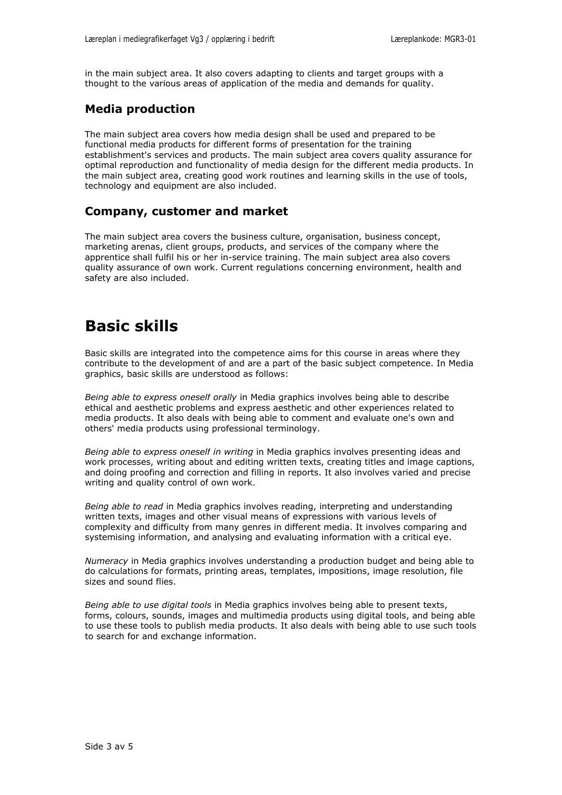in the main subject area. It also covers adapting to clients and target groups with a thought to the various areas of application of the media and demands for quality.

### **Media production**

The main subject area covers how media design shall be used and prepared to be functional media products for different forms of presentation for the training establishment's services and products. The main subject area covers quality assurance for optimal reproduction and functionality of media design for the different media products. In the main subject area, creating good work routines and learning skills in the use of tools, technology and equipment are also included.

### **Company, customer and market**

The main subject area covers the business culture, organisation, business concept, marketing arenas, client groups, products, and services of the company where the apprentice shall fulfil his or her in-service training. The main subject area also covers quality assurance of own work. Current regulations concerning environment, health and safety are also included.

# **Basic skills**

Basic skills are integrated into the competence aims for this course in areas where they contribute to the development of and are a part of the basic subject competence. In Media graphics, basic skills are understood as follows:

*Being able to express oneself orally* in Media graphics involves being able to describe ethical and aesthetic problems and express aesthetic and other experiences related to media products. It also deals with being able to comment and evaluate one's own and others' media products using professional terminology.

*Being able to express oneself in writing* in Media graphics involves presenting ideas and work processes, writing about and editing written texts, creating titles and image captions, and doing proofing and correction and filling in reports. It also involves varied and precise writing and quality control of own work.

*Being able to read* in Media graphics involves reading, interpreting and understanding written texts, images and other visual means of expressions with various levels of complexity and difficulty from many genres in different media. It involves comparing and systemising information, and analysing and evaluating information with a critical eye.

*Numeracy* in Media graphics involves understanding a production budget and being able to do calculations for formats, printing areas, templates, impositions, image resolution, file sizes and sound flies.

*Being able to use digital tools* in Media graphics involves being able to present texts, forms, colours, sounds, images and multimedia products using digital tools, and being able to use these tools to publish media products. It also deals with being able to use such tools to search for and exchange information.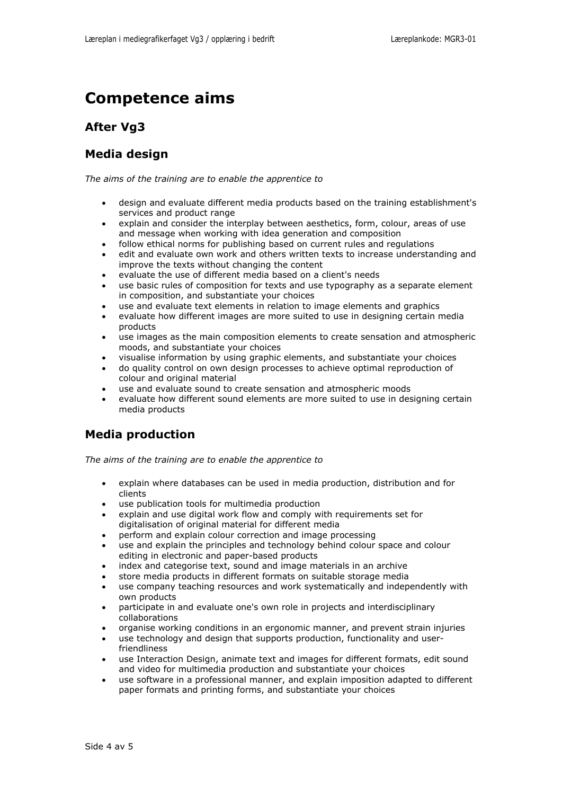# **Competence aims**

### **After Vg3**

### **Media design**

*The aims of the training are to enable the apprentice to*

- design and evaluate different media products based on the training establishment's services and product range
- explain and consider the interplay between aesthetics, form, colour, areas of use and message when working with idea generation and composition
- follow ethical norms for publishing based on current rules and regulations
- edit and evaluate own work and others written texts to increase understanding and improve the texts without changing the content
- evaluate the use of different media based on a client's needs
- use basic rules of composition for texts and use typography as a separate element in composition, and substantiate your choices
- use and evaluate text elements in relation to image elements and graphics
- evaluate how different images are more suited to use in designing certain media products
- use images as the main composition elements to create sensation and atmospheric moods, and substantiate your choices
- visualise information by using graphic elements, and substantiate your choices
- do quality control on own design processes to achieve optimal reproduction of colour and original material
- use and evaluate sound to create sensation and atmospheric moods
- evaluate how different sound elements are more suited to use in designing certain media products

### **Media production**

*The aims of the training are to enable the apprentice to*

- explain where databases can be used in media production, distribution and for clients
- use publication tools for multimedia production
- explain and use digital work flow and comply with requirements set for digitalisation of original material for different media
- perform and explain colour correction and image processing
- use and explain the principles and technology behind colour space and colour editing in electronic and paper-based products
- index and categorise text, sound and image materials in an archive
- store media products in different formats on suitable storage media
- use company teaching resources and work systematically and independently with own products
- participate in and evaluate one's own role in projects and interdisciplinary collaborations
- organise working conditions in an ergonomic manner, and prevent strain injuries
- use technology and design that supports production, functionality and userfriendliness
- use Interaction Design, animate text and images for different formats, edit sound and video for multimedia production and substantiate your choices
- use software in a professional manner, and explain imposition adapted to different paper formats and printing forms, and substantiate your choices